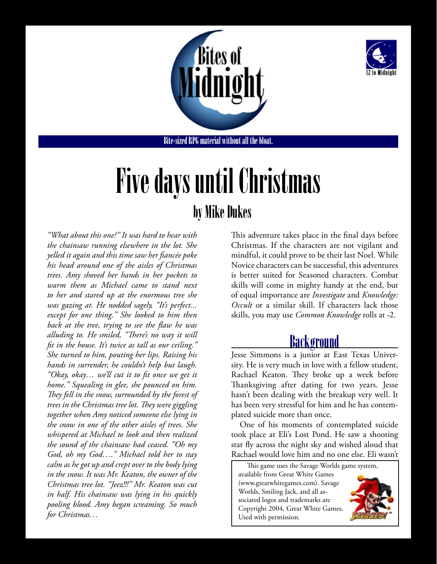



Bite-sized RPG material without all the bloat.

# Five days until Christmas by Mike Dukes

*"What about this one?" It was hard to hear with the chainsaw running elsewhere in the lot. She yelled it again and this time saw her fiancée poke his head around one of the aisles of Christmas trees. Amy shoved her hands in her pockets to warm them as Michael came to stand next to her and stared up at the enormous tree she was gazing at. He nodded sagely, "It's perfect... except for one thing." She looked to him then back at the tree, trying to see the flaw he was alluding to. He smiled, "There's no way it will fit in the house. It's twice as tall as our ceiling." She turned to him, pouting her lips. Raising his hands in surrender, he couldn't help but laugh. "Okay, okay… we'll cut it to fit once we get it home." Squealing in glee, she pounced on him. They fell in the snow, surrounded by the forest of trees in the Christmas tree lot. They were giggling together when Amy noticed someone else lying in the snow in one of the other aisles of trees. She whispered at Michael to look and then realized the sound of the chainsaw had ceased. "Oh my God, oh my God…." Michael told her to stay calm as he got up and crept over to the body lying in the snow. It was Mr. Keaton, the owner of the Christmas tree lot. "Jeez!!!" Mr. Keaton was cut in half. His chainsaw was lying in his quickly pooling blood. Amy began screaming. So much for Christmas…*

This adventure takes place in the final days before Christmas. If the characters are not vigilant and mindful, it could prove to be their last Noel. While Novice characters can be successful, this adventures is better suited for Seasoned characters. Combat skills will come in mighty handy at the end, but of equal importance are *Investigate* and *Knowledge: Occult* or a similar skill. If characters lack those skills, you may use *Common Knowledge* rolls at -2.

### Background

Jesse Simmons is a junior at East Texas University. He is very much in love with a fellow student, Rachael Keaton. They broke up a week before Thanksgiving after dating for two years. Jesse hasn't been dealing with the breakup very well. It has been very stressful for him and he has contemplated suicide more than once.

One of his moments of contemplated suicide took place at Eli's Lost Pond. He saw a shooting star fly across the night sky and wished aloud that Rachael would love him and no one else. Eli wasn't

This game uses the Savage Worlds game system, available from Great White Games (www.greatwhitegames.com). Savage Worlds, Smiling Jack, and all associated logos and trademarks are Copyright 2004, Great White Games. Used with permission.

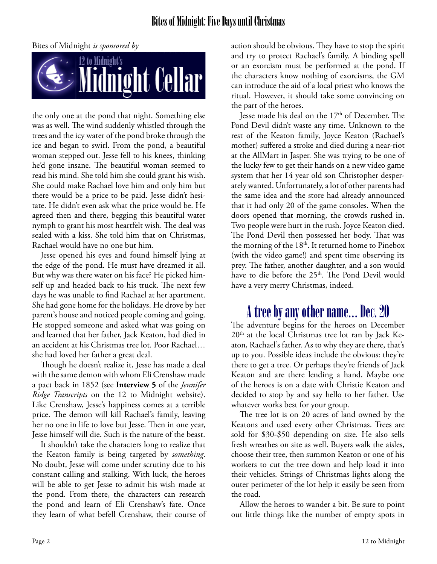

the only one at the pond that night. Something else was as well. The wind suddenly whistled through the trees and the icy water of the pond broke through the ice and began to swirl. From the pond, a beautiful woman stepped out. Jesse fell to his knees, thinking he'd gone insane. The beautiful woman seemed to read his mind. She told him she could grant his wish. She could make Rachael love him and only him but there would be a price to be paid. Jesse didn't hesitate. He didn't even ask what the price would be. He agreed then and there, begging this beautiful water nymph to grant his most heartfelt wish. The deal was sealed with a kiss. She told him that on Christmas, Rachael would have no one but him.

Jesse opened his eyes and found himself lying at the edge of the pond. He must have dreamed it all. But why was there water on his face? He picked himself up and headed back to his truck. The next few days he was unable to find Rachael at her apartment. She had gone home for the holidays. He drove by her parent's house and noticed people coming and going. He stopped someone and asked what was going on and learned that her father, Jack Keaton, had died in an accident at his Christmas tree lot. Poor Rachael… she had loved her father a great deal.

Though he doesn't realize it, Jesse has made a deal with the same demon with whom Eli Crenshaw made a pact back in 1852 (see **[Interview 5](http://12tomidnight.com/campaign-setting/)** of the *Jennifer Ridge Transcripts* on the 12 to Midnight website). Like Crenshaw, Jesse's happiness comes at a terrible price. The demon will kill Rachael's family, leaving her no one in life to love but Jesse. Then in one year, Jesse himself will die. Such is the nature of the beast.

It shouldn't take the characters long to realize that the Keaton family is being targeted by *something*. No doubt, Jesse will come under scrutiny due to his constant calling and stalking. With luck, the heroes will be able to get Jesse to admit his wish made at the pond. From there, the characters can research the pond and learn of Eli Crenshaw's fate. Once they learn of what befell Crenshaw, their course of action should be obvious. They have to stop the spirit and try to protect Rachael's family. A binding spell or an exorcism must be performed at the pond. If the characters know nothing of exorcisms, the GM can introduce the aid of a local priest who knows the ritual. However, it should take some convincing on the part of the heroes.

Jesse made his deal on the 17<sup>th</sup> of December. The Pond Devil didn't waste any time. Unknown to the rest of the Keaton family, Joyce Keaton (Rachael's mother) suffered a stroke and died during a near-riot at the AllMart in Jasper. She was trying to be one of the lucky few to get their hands on a new video game system that her 14 year old son Christopher desperately wanted. Unfortunately, a lot of other parents had the same idea and the store had already announced that it had only 20 of the game consoles. When the doors opened that morning, the crowds rushed in. Two people were hurt in the rush. Joyce Keaton died. The Pond Devil then possessed her body. That was the morning of the 18<sup>th</sup>. It returned home to Pinebox (with the video game!) and spent time observing its prey. The father, another daughter, and a son would have to die before the 25<sup>th</sup>. The Pond Devil would have a very merry Christmas, indeed.

### A tree by any other name… Dec. 20

The adventure begins for the heroes on December 20<sup>th</sup> at the local Christmas tree lot ran by Jack Keaton, Rachael's father. As to why they are there, that's up to you. Possible ideas include the obvious: they're there to get a tree. Or perhaps they're friends of Jack Keaton and are there lending a hand. Maybe one of the heroes is on a date with Christie Keaton and decided to stop by and say hello to her father. Use whatever works best for your group.

The tree lot is on 20 acres of land owned by the Keatons and used every other Christmas. Trees are sold for \$30-\$50 depending on size. He also sells fresh wreathes on site as well. Buyers walk the aisles, choose their tree, then summon Keaton or one of his workers to cut the tree down and help load it into their vehicles. Strings of Christmas lights along the outer perimeter of the lot help it easily be seen from the road.

Allow the heroes to wander a bit. Be sure to point out little things like the number of empty spots in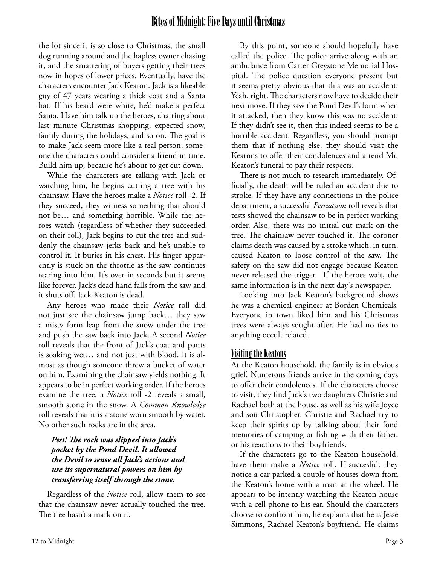the lot since it is so close to Christmas, the small dog running around and the hapless owner chasing it, and the smattering of buyers getting their trees now in hopes of lower prices. Eventually, have the characters encounter Jack Keaton. Jack is a likeable guy of 47 years wearing a thick coat and a Santa hat. If his beard were white, he'd make a perfect Santa. Have him talk up the heroes, chatting about last minute Christmas shopping, expected snow, family during the holidays, and so on. The goal is to make Jack seem more like a real person, someone the characters could consider a friend in time. Build him up, because he's about to get cut down.

While the characters are talking with Jack or watching him, he begins cutting a tree with his chainsaw. Have the heroes make a *Notice* roll -2. If they succeed, they witness something that should not be… and something horrible. While the heroes watch (regardless of whether they succeeded on their roll), Jack begins to cut the tree and suddenly the chainsaw jerks back and he's unable to control it. It buries in his chest. His finger apparently is stuck on the throttle as the saw continues tearing into him. It's over in seconds but it seems like forever. Jack's dead hand falls from the saw and it shuts off. Jack Keaton is dead.

Any heroes who made their *Notice* roll did not just see the chainsaw jump back… they saw a misty form leap from the snow under the tree and push the saw back into Jack. A second *Notice* roll reveals that the front of Jack's coat and pants is soaking wet… and not just with blood. It is almost as though someone threw a bucket of water on him. Examining the chainsaw yields nothing. It appears to be in perfect working order. If the heroes examine the tree, a *Notice* roll -2 reveals a small, smooth stone in the snow. A *Common Knowledge* roll reveals that it is a stone worn smooth by water. No other such rocks are in the area.

#### *Psst! The rock was slipped into Jack's pocket by the Pond Devil. It allowed the Devil to sense all Jack's actions and use its supernatural powers on him by transferring itself through the stone.*

Regardless of the *Notice* roll, allow them to see that the chainsaw never actually touched the tree. The tree hasn't a mark on it.

By this point, someone should hopefully have called the police. The police arrive along with an ambulance from Carter Greystone Memorial Hospital. The police question everyone present but it seems pretty obvious that this was an accident. Yeah, right. The characters now have to decide their next move. If they saw the Pond Devil's form when it attacked, then they know this was no accident. If they didn't see it, then this indeed seems to be a horrible accident. Regardless, you should prompt them that if nothing else, they should visit the Keatons to offer their condolences and attend Mr. Keaton's funeral to pay their respects.

There is not much to research immediately. Officially, the death will be ruled an accident due to stroke. If they have any connections in the police department, a successful *Persuasion* roll reveals that tests showed the chainsaw to be in perfect working order. Also, there was no initial cut mark on the tree. The chainsaw never touched it. The coroner claims death was caused by a stroke which, in turn, caused Keaton to loose control of the saw. The safety on the saw did not engage because Keaton never released the trigger. If the heroes wait, the same information is in the next day's newspaper.

Looking into Jack Keaton's background shows he was a chemical engineer at Borden Chemicals. Everyone in town liked him and his Christmas trees were always sought after. He had no ties to anything occult related.

#### Visiting the Keatons

At the Keaton household, the family is in obvious grief. Numerous friends arrive in the coming days to offer their condolences. If the characters choose to visit, they find Jack's two daughters Christie and Rachael both at the house, as well as his wife Joyce and son Christopher. Christie and Rachael try to keep their spirits up by talking about their fond memories of camping or fishing with their father, or his reactions to their boyfriends.

If the characters go to the Keaton household, have them make a *Notice* roll. If succesful, they notice a car parked a couple of houses down from the Keaton's home with a man at the wheel. He appears to be intently watching the Keaton house with a cell phone to his ear. Should the characters choose to confront him, he explains that he is Jesse Simmons, Rachael Keaton's boyfriend. He claims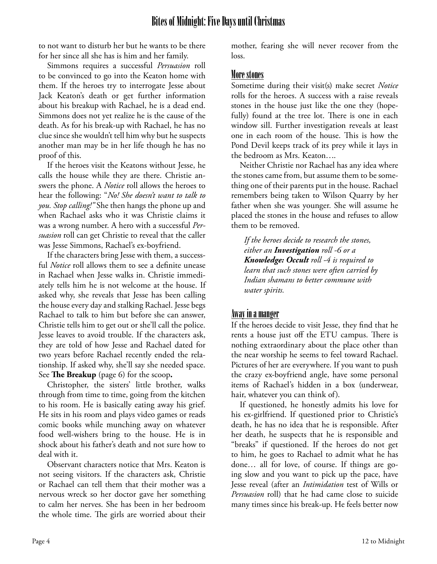to not want to disturb her but he wants to be there for her since all she has is him and her family.

Simmons requires a successful *Persuasion* roll to be convinced to go into the Keaton home with them. If the heroes try to interrogate Jesse about Jack Keaton's death or get further information about his breakup with Rachael, he is a dead end. Simmons does not yet realize he is the cause of the death. As for his break-up with Rachael, he has no clue since she wouldn't tell him why but he suspects another man may be in her life though he has no proof of this.

If the heroes visit the Keatons without Jesse, he calls the house while they are there. Christie answers the phone. A *Notice* roll allows the heroes to hear the following: "*No! She doesn't want to talk to you. Stop calling!"* She then hangs the phone up and when Rachael asks who it was Christie claims it was a wrong number. A hero with a successful *Persuasion* roll can get Christie to reveal that the caller was Jesse Simmons, Rachael's ex-boyfriend.

If the characters bring Jesse with them, a successful *Notice* roll allows them to see a definite unease in Rachael when Jesse walks in. Christie immediately tells him he is not welcome at the house. If asked why, she reveals that Jesse has been calling the house every day and stalking Rachael. Jesse begs Rachael to talk to him but before she can answer, Christie tells him to get out or she'll call the police. Jesse leaves to avoid trouble. If the characters ask, they are told of how Jesse and Rachael dated for two years before Rachael recently ended the relationship. If asked why, she'll say she needed space. See **The Breakup** (page 6) for the scoop**.**

Christopher, the sisters' little brother, walks through from time to time, going from the kitchen to his room. He is basically eating away his grief. He sits in his room and plays video games or reads comic books while munching away on whatever food well-wishers bring to the house. He is in shock about his father's death and not sure how to deal with it.

Observant characters notice that Mrs. Keaton is not seeing visitors. If the characters ask, Christie or Rachael can tell them that their mother was a nervous wreck so her doctor gave her something to calm her nerves. She has been in her bedroom the whole time. The girls are worried about their mother, fearing she will never recover from the loss.

#### More stones

Sometime during their visit(s) make secret *Notice* rolls for the heroes. A success with a raise reveals stones in the house just like the one they (hopefully) found at the tree lot. There is one in each window sill. Further investigation reveals at least one in each room of the house. This is how the Pond Devil keeps track of its prey while it lays in the bedroom as Mrs. Keaton….

Neither Christie nor Rachael has any idea where the stones came from, but assume them to be something one of their parents put in the house. Rachael remembers being taken to Wilson Quarry by her father when she was younger. She will assume he placed the stones in the house and refuses to allow them to be removed.

*If the heroes decide to research the stones, either an Investigation roll -6 or a Knowledge: Occult roll -4 is required to learn that such stones were often carried by Indian shamans to better commune with water spirits.*

#### Away in a manger

If the heroes decide to visit Jesse, they find that he rents a house just off the ETU campus. There is nothing extraordinary about the place other than the near worship he seems to feel toward Rachael. Pictures of her are everywhere. If you want to push the crazy ex-boyfriend angle, have some personal items of Rachael's hidden in a box (underwear, hair, whatever you can think of).

If questioned, he honestly admits his love for his ex-girlfriend. If questioned prior to Christie's death, he has no idea that he is responsible. After her death, he suspects that he is responsible and "breaks" if questioned. If the heroes do not get to him, he goes to Rachael to admit what he has done… all for love, of course. If things are going slow and you want to pick up the pace, have Jesse reveal (after an *Intimidation* test of Wills or *Persuasion* roll) that he had came close to suicide many times since his break-up. He feels better now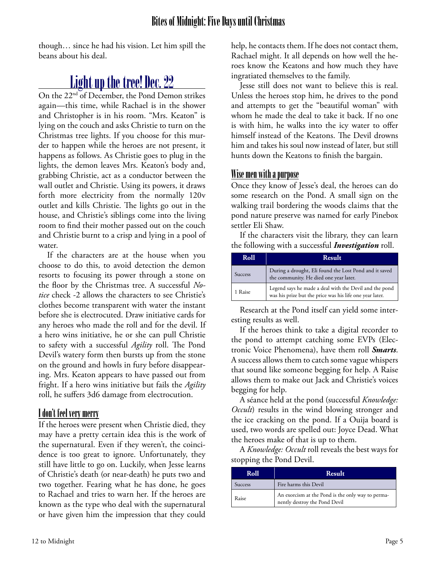though… since he had his vision. Let him spill the beans about his deal.

### Light up the tree! Dec. 22

On the 22nd of December, the Pond Demon strikes again—this time, while Rachael is in the shower and Christopher is in his room. "Mrs. Keaton" is lying on the couch and asks Christie to turn on the Christmas tree lights. If you choose for this murder to happen while the heroes are not present, it happens as follows. As Christie goes to plug in the lights, the demon leaves Mrs. Keaton's body and, grabbing Christie, act as a conductor between the wall outlet and Christie. Using its powers, it draws forth more electricity from the normally 120v outlet and kills Christie. The lights go out in the house, and Christie's siblings come into the living room to find their mother passed out on the couch and Christie burnt to a crisp and lying in a pool of water.

If the characters are at the house when you choose to do this, to avoid detection the demon resorts to focusing its power through a stone on the floor by the Christmas tree. A successful *Notice* check -2 allows the characters to see Christie's clothes become transparent with water the instant before she is electrocuted. Draw initiative cards for any heroes who made the roll and for the devil. If a hero wins initiative, he or she can pull Christie to safety with a successful *Agility* roll. The Pond Devil's watery form then bursts up from the stone on the ground and howls in fury before disappearing. Mrs. Keaton appears to have passed out from fright. If a hero wins initiative but fails the *Agility* roll, he suffers 3d6 damage from electrocution.

#### I don't feel very merry

If the heroes were present when Christie died, they may have a pretty certain idea this is the work of the supernatural. Even if they weren't, the coincidence is too great to ignore. Unfortunately, they still have little to go on. Luckily, when Jesse learns of Christie's death (or near-death) he puts two and two together. Fearing what he has done, he goes to Rachael and tries to warn her. If the heroes are known as the type who deal with the supernatural or have given him the impression that they could help, he contacts them. If he does not contact them, Rachael might. It all depends on how well the heroes know the Keatons and how much they have ingratiated themselves to the family.

Jesse still does not want to believe this is real. Unless the heroes stop him, he drives to the pond and attempts to get the "beautiful woman" with whom he made the deal to take it back. If no one is with him, he walks into the icy water to offer himself instead of the Keatons. The Devil drowns him and takes his soul now instead of later, but still hunts down the Keatons to finish the bargain.

#### Wise men with a purpose

Once they know of Jesse's deal, the heroes can do some research on the Pond. A small sign on the walking trail bordering the woods claims that the pond nature preserve was named for early Pinebox settler Eli Shaw.

If the characters visit the library, they can learn the following with a successful *Investigation* roll.

| Roll           | <b>Result</b>                                                                                                      |
|----------------|--------------------------------------------------------------------------------------------------------------------|
| <b>Success</b> | During a drought, Eli found the Lost Pond and it saved<br>the community. He died one year later.                   |
| 1 Raise        | Legend says he made a deal with the Devil and the pond<br>was his prize but the price was his life one year later. |

Research at the Pond itself can yield some interesting results as well.

If the heroes think to take a digital recorder to the pond to attempt catching some EVPs (Electronic Voice Phenomena), have them roll *Smarts*. A success allows them to catch some vague whispers that sound like someone begging for help. A Raise allows them to make out Jack and Christie's voices begging for help.

A séance held at the pond (successful *Knowledge: Occult*) results in the wind blowing stronger and the ice cracking on the pond. If a Ouija board is used, two words are spelled out: Joyce Dead. What the heroes make of that is up to them.

A *Knowledge: Occult* roll reveals the best ways for stopping the Pond Devil.

| Roll    | <b>Result</b>                                                                      |
|---------|------------------------------------------------------------------------------------|
| Success | Fire harms this Devil                                                              |
| Raise   | An exorcism at the Pond is the only way to perma-<br>nently destroy the Pond Devil |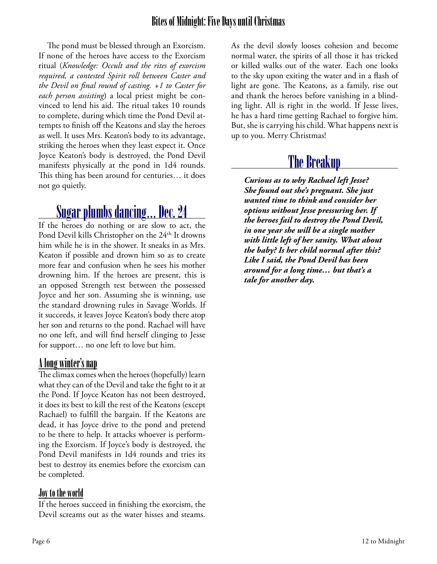The pond must be blessed through an Exorcism. If none of the heroes have access to the Exorcism ritual (*Knowledge: Occult and the rites of exorcism required, a contested Spirit roll between Caster and the Devil on final round of casting. +1 to Caster for each person assisting*) a local priest might be convinced to lend his aid. The ritual takes 10 rounds to complete, during which time the Pond Devil attempts to finish off the Keatons and slay the heroes as well. It uses Mrs. Keaton's body to its advantage, striking the heroes when they least expect it. Once Joyce Keaton's body is destroyed, the Pond Devil manifests physically at the pond in 1d4 rounds. This thing has been around for centuries… it does not go quietly.

### Sugar plumbs dancing… Dec. 24

If the heroes do nothing or are slow to act, the Pond Devil kills Christopher on the 24<sup>th.</sup> It drowns him while he is in the shower. It sneaks in as Mrs. Keaton if possible and drown him so as to create more fear and confusion when he sees his mother drowning him. If the heroes are present, this is an opposed Strength test between the possessed Joyce and her son. Assuming she is winning, use the standard drowning rules in Savage Worlds. If it succeeds, it leaves Joyce Keaton's body there atop her son and returns to the pond. Rachael will have no one left, and will find herself clinging to Jesse for support… no one left to love but him.

#### A long winter's nap

The climax comes when the heroes (hopefully) learn what they can of the Devil and take the fight to it at the Pond. If Joyce Keaton has not been destroyed, it does its best to kill the rest of the Keatons (except Rachael) to fulfill the bargain. If the Keatons are dead, it has Joyce drive to the pond and pretend to be there to help. It attacks whoever is performing the Exorcism. If Joyce's body is destroyed, the Pond Devil manifests in 1d4 rounds and tries its best to destroy its enemies before the exorcism can be completed.

#### Joy to the world

If the heroes succeed in finishing the exorcism, the Devil screams out as the water hisses and steams.

As the devil slowly looses cohesion and become normal water, the spirits of all those it has tricked or killed walks out of the water. Each one looks to the sky upon exiting the water and in a flash of light are gone. The Keatons, as a family, rise out and thank the heroes before vanishing in a blinding light. All is right in the world. If Jesse lives, he has a hard time getting Rachael to forgive him. But, she is carrying his child. What happens next is up to you. Merry Christmas!

### The Breakup

*Curious as to why Rachael left Jesse? She found out she's pregnant. She just wanted time to think and consider her options without Jesse pressuring her. If the heroes fail to destroy the Pond Devil, in one year she will be a single mother with little left of her sanity. What about the baby? Is her child normal after this? Like I said, the Pond Devil has been around for a long time… but that's a tale for another day.*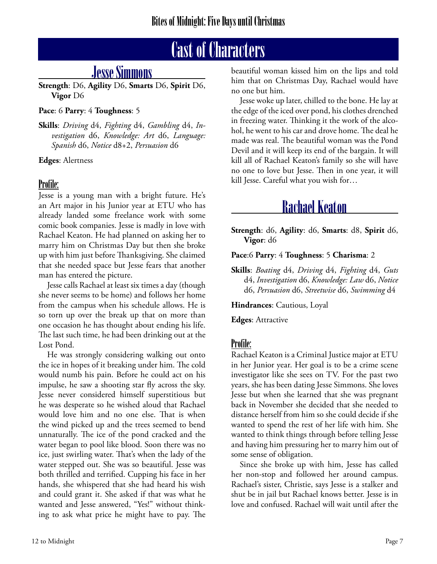## Cast of Characters

### Jesse Simmons

**Strength**: D6, **Agility** D6, **Smarts** D6, **Spirit** D6, **Vigor** D6

#### **Pace**: 6 **Parry**: 4 **Toughness**: 5

**Skills**: *Driving* d4, *Fighting* d4, *Gambling* d4, *Investigation* d6, *Knowledge: Art* d6, *Language: Spanish* d6, *Notice* d8+2, *Persuasion* d6

**Edges**: Alertness

#### Profile:

Jesse is a young man with a bright future. He's an Art major in his Junior year at ETU who has already landed some freelance work with some comic book companies. Jesse is madly in love with Rachael Keaton. He had planned on asking her to marry him on Christmas Day but then she broke up with him just before Thanksgiving. She claimed that she needed space but Jesse fears that another man has entered the picture.

Jesse calls Rachael at least six times a day (though she never seems to be home) and follows her home from the campus when his schedule allows. He is so torn up over the break up that on more than one occasion he has thought about ending his life. The last such time, he had been drinking out at the Lost Pond.

He was strongly considering walking out onto the ice in hopes of it breaking under him. The cold would numb his pain. Before he could act on his impulse, he saw a shooting star fly across the sky. Jesse never considered himself superstitious but he was desperate so he wished aloud that Rachael would love him and no one else. That is when the wind picked up and the trees seemed to bend unnaturally. The ice of the pond cracked and the water began to pool like blood. Soon there was no ice, just swirling water. That's when the lady of the water stepped out. She was so beautiful. Jesse was both thrilled and terrified. Cupping his face in her hands, she whispered that she had heard his wish and could grant it. She asked if that was what he wanted and Jesse answered, "Yes!" without thinking to ask what price he might have to pay. The beautiful woman kissed him on the lips and told him that on Christmas Day, Rachael would have no one but him.

Jesse woke up later, chilled to the bone. He lay at the edge of the iced over pond, his clothes drenched in freezing water. Thinking it the work of the alcohol, he went to his car and drove home. The deal he made was real. The beautiful woman was the Pond Devil and it will keep its end of the bargain. It will kill all of Rachael Keaton's family so she will have no one to love but Jesse. Then in one year, it will kill Jesse. Careful what you wish for…

### Rachael Keaton

**Strength**: d6, **Agility**: d6, **Smarts**: d8, **Spirit** d6, **Vigor**: d6

**Pace**:6 **Parry**: 4 **Toughness**: 5 **Charisma**: 2

**Skills**: *Boating* d4, *Driving* d4, *Fighting* d4, *Guts* d4, *Investigation* d6, *Knowledge: Law* d6, *Notice* d6, *Persuasion* d6, *Streetwise* d6, *Swimming* d4

**Hindrances**: Cautious, Loyal

**Edges**: Attractive

#### Profile:

Rachael Keaton is a Criminal Justice major at ETU in her Junior year. Her goal is to be a crime scene investigator like she sees on TV. For the past two years, she has been dating Jesse Simmons. She loves Jesse but when she learned that she was pregnant back in November she decided that she needed to distance herself from him so she could decide if she wanted to spend the rest of her life with him. She wanted to think things through before telling Jesse and having him pressuring her to marry him out of some sense of obligation.

Since she broke up with him, Jesse has called her non-stop and followed her around campus. Rachael's sister, Christie, says Jesse is a stalker and shut be in jail but Rachael knows better. Jesse is in love and confused. Rachael will wait until after the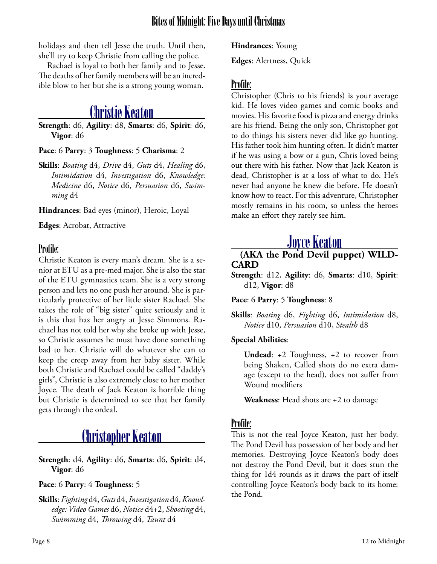holidays and then tell Jesse the truth. Until then, she'll try to keep Christie from calling the police.

Rachael is loyal to both her family and to Jesse. The deaths of her family members will be an incredible blow to her but she is a strong young woman.

### Christie Keaton

**Strength**: d6, **Agility**: d8, **Smarts**: d6, **Spirit**: d6, **Vigor**: d6

#### **Pace**: 6 **Parry**: 3 **Toughness**: 5 **Charisma**: 2

**Skills**: *Boating* d4, *Drive* d4, *Guts* d4, *Healing* d6, *Intimidation* d4, *Investigation* d6, *Knowledge: Medicine* d6, *Notice* d6, *Persuasion* d6, *Swimming* d4

**Hindrances**: Bad eyes (minor), Heroic, Loyal

**Edges**: Acrobat, Attractive

#### Profile:

Christie Keaton is every man's dream. She is a senior at ETU as a pre-med major. She is also the star of the ETU gymnastics team. She is a very strong person and lets no one push her around. She is particularly protective of her little sister Rachael. She takes the role of "big sister" quite seriously and it is this that has her angry at Jesse Simmons. Rachael has not told her why she broke up with Jesse, so Christie assumes he must have done something bad to her. Christie will do whatever she can to keep the creep away from her baby sister. While both Christie and Rachael could be called "daddy's girls", Christie is also extremely close to her mother Joyce. The death of Jack Keaton is horrible thing but Christie is determined to see that her family gets through the ordeal.

### Christopher Keaton

**Strength**: d4, **Agility**: d6, **Smarts**: d6, **Spirit**: d4, **Vigor**: d6

#### **Pace**: 6 **Parry**: 4 **Toughness**: 5

**Skills**: *Fighting* d4, *Guts* d4, *Investigation* d4, *Knowledge: Video Games* d6, *Notice* d4+2, *Shooting* d4, *Swimming* d4, *Throwing* d4, *Taunt* d4

**Hindrances**: Young

**Edges**: Alertness, Quick

#### Profile:

Christopher (Chris to his friends) is your average kid. He loves video games and comic books and movies. His favorite food is pizza and energy drinks are his friend. Being the only son, Christopher got to do things his sisters never did like go hunting. His father took him hunting often. It didn't matter if he was using a bow or a gun, Chris loved being out there with his father. Now that Jack Keaton is dead, Christopher is at a loss of what to do. He's never had anyone he knew die before. He doesn't know how to react. For this adventure, Christopher mostly remains in his room, so unless the heroes make an effort they rarely see him.

Joyce Keaton **(AKA the Pond Devil puppet) WILD- CARD**

**Strength**: d12, **Agility**: d6, **Smarts**: d10, **Spirit**: d12, **Vigor**: d8

**Pace**: 6 **Parry**: 5 **Toughness**: 8

**Skills**: *Boating* d6, *Fighting* d6, *Intimidation* d8, *Notice* d10, *Persuasion* d10, *Stealth* d8

#### **Special Abilities**:

**Undead**: +2 Toughness, +2 to recover from being Shaken, Called shots do no extra damage (except to the head), does not suffer from Wound modifiers

**Weakness**: Head shots are +2 to damage

#### Profile:

This is not the real Joyce Keaton, just her body. The Pond Devil has possession of her body and her memories. Destroying Joyce Keaton's body does not destroy the Pond Devil, but it does stun the thing for 1d4 rounds as it draws the part of itself controlling Joyce Keaton's body back to its home: the Pond.